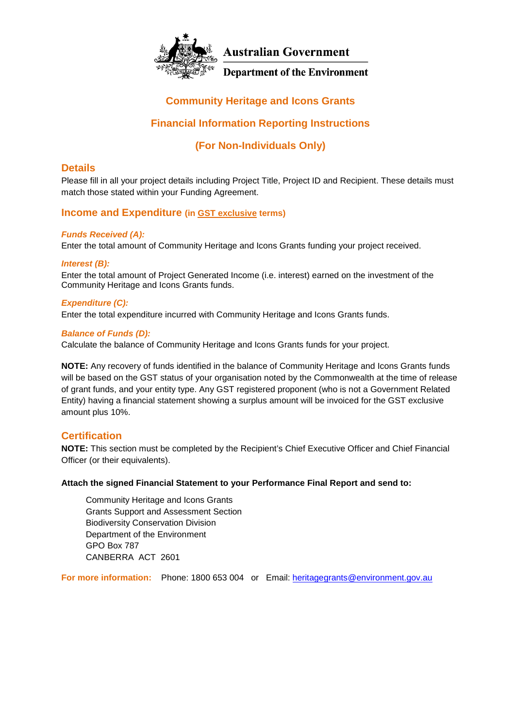

## **Community Heritage and Icons Grants**

## **Financial Information Reporting Instructions**

## **(For Non-Individuals Only)**

### **Details**

Please fill in all your project details including Project Title, Project ID and Recipient. These details must match those stated within your Funding Agreement.

### **Income and Expenditure (in GST exclusive terms)**

### *Funds Received (A):*

Enter the total amount of Community Heritage and Icons Grants funding your project received.

### *Interest (B):*

Enter the total amount of Project Generated Income (i.e. interest) earned on the investment of the Community Heritage and Icons Grants funds.

#### *Expenditure (C):*

Enter the total expenditure incurred with Community Heritage and Icons Grants funds.

#### *Balance of Funds (D):*

Calculate the balance of Community Heritage and Icons Grants funds for your project.

**NOTE:** Any recovery of funds identified in the balance of Community Heritage and Icons Grants funds will be based on the GST status of your organisation noted by the Commonwealth at the time of release of grant funds, and your entity type. Any GST registered proponent (who is not a Government Related Entity) having a financial statement showing a surplus amount will be invoiced for the GST exclusive amount plus 10%.

### **Certification**

**NOTE:** This section must be completed by the Recipient's Chief Executive Officer and Chief Financial Officer (or their equivalents).

#### **Attach the signed Financial Statement to your Performance Final Report and send to:**

Community Heritage and Icons Grants Grants Support and Assessment Section Biodiversity Conservation Division Department of the Environment GPO Box 787 CANBERRA ACT 2601

**For more information:** Phone: 1800 653 004 or Email: [heritagegrants@environment.gov.au](mailto:heritagegrants@environment.gov.au)